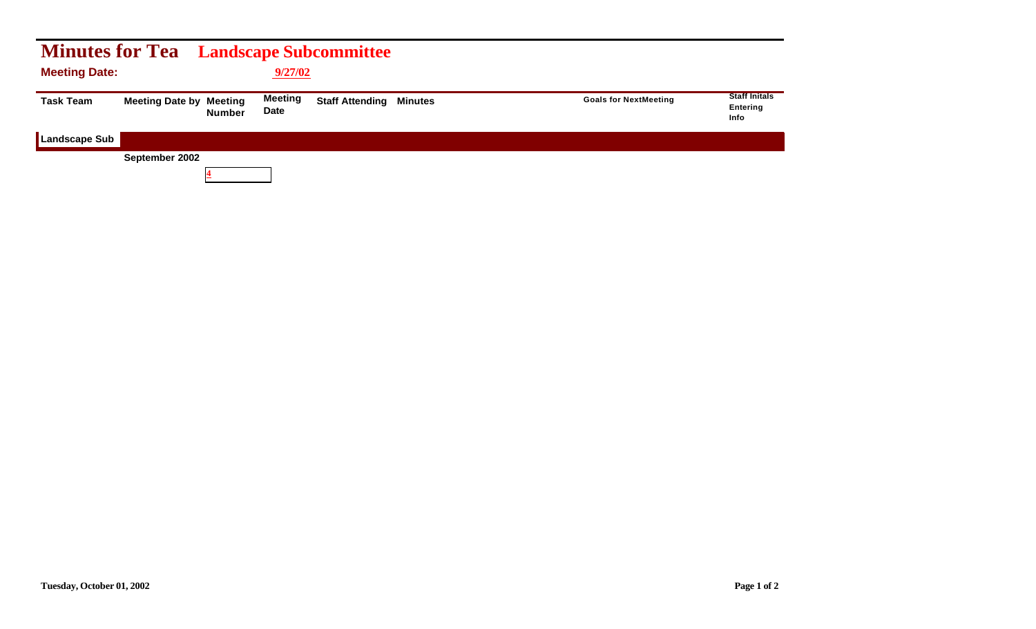| <b>Minutes for Tea</b> Landscape Subcommittee |                                |               |                        |                                |                              |                                          |
|-----------------------------------------------|--------------------------------|---------------|------------------------|--------------------------------|------------------------------|------------------------------------------|
| <b>Meeting Date:</b>                          |                                |               | 9/27/02                |                                |                              |                                          |
| <b>Task Team</b>                              | <b>Meeting Date by Meeting</b> | <b>Number</b> | Meeting<br><b>Date</b> | <b>Staff Attending Minutes</b> | <b>Goals for NextMeeting</b> | <b>Staff Initals</b><br>Entering<br>Info |
| <b>Landscape Sub</b>                          |                                |               |                        |                                |                              |                                          |
|                                               | September 2002                 |               |                        |                                |                              |                                          |
|                                               |                                |               |                        |                                |                              |                                          |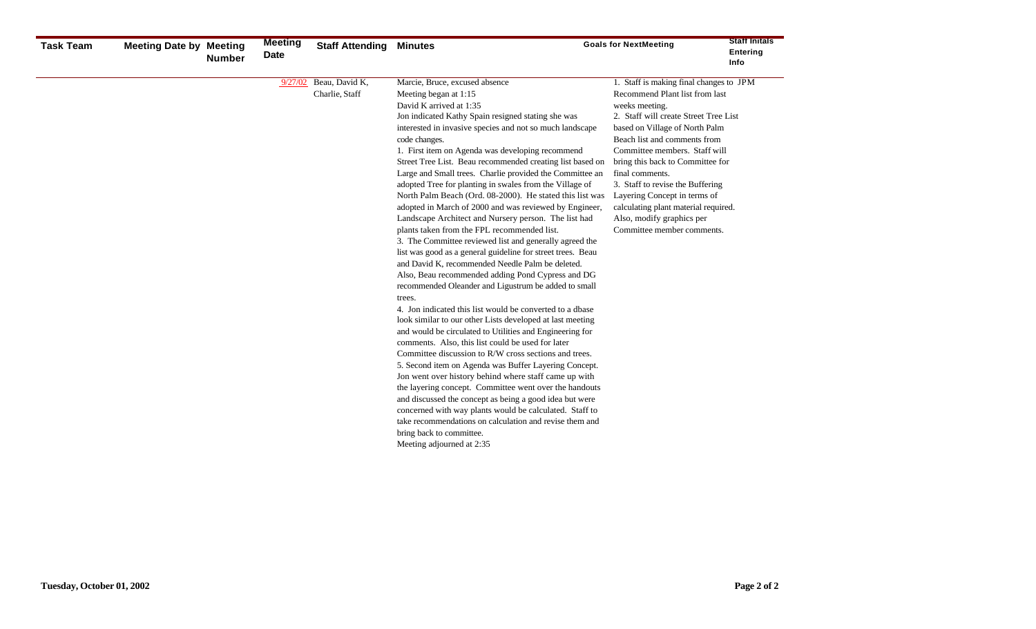| <b>Task Team</b> | <b>Meeting Date by Meeting</b> | <b>Number</b> | <b>Meeting</b><br><b>Date</b> | <b>Staff Attending</b>           | <b>Minutes</b>                                                                                                                                                                                                                                                                                                                                                                                                                                                                                                                                                                                                                                                                                                                                                                                                                                                                                                                                                                                                                                                                                                                                                                                                                                                                                                                                                                                                                                                                                                                                                                                                                                                                                                           | <b>Goals for NextMeeting</b>                                                                                                                                                                                                                                                                                                                                                                                                                                          | <b>Staff Initals</b><br>Entering<br>Info |
|------------------|--------------------------------|---------------|-------------------------------|----------------------------------|--------------------------------------------------------------------------------------------------------------------------------------------------------------------------------------------------------------------------------------------------------------------------------------------------------------------------------------------------------------------------------------------------------------------------------------------------------------------------------------------------------------------------------------------------------------------------------------------------------------------------------------------------------------------------------------------------------------------------------------------------------------------------------------------------------------------------------------------------------------------------------------------------------------------------------------------------------------------------------------------------------------------------------------------------------------------------------------------------------------------------------------------------------------------------------------------------------------------------------------------------------------------------------------------------------------------------------------------------------------------------------------------------------------------------------------------------------------------------------------------------------------------------------------------------------------------------------------------------------------------------------------------------------------------------------------------------------------------------|-----------------------------------------------------------------------------------------------------------------------------------------------------------------------------------------------------------------------------------------------------------------------------------------------------------------------------------------------------------------------------------------------------------------------------------------------------------------------|------------------------------------------|
|                  |                                |               | 9/27/02                       | Beau, David K,<br>Charlie, Staff | Marcie, Bruce, excused absence<br>Meeting began at 1:15<br>David K arrived at 1:35<br>Jon indicated Kathy Spain resigned stating she was<br>interested in invasive species and not so much landscape<br>code changes.<br>1. First item on Agenda was developing recommend<br>Street Tree List. Beau recommended creating list based on<br>Large and Small trees. Charlie provided the Committee an<br>adopted Tree for planting in swales from the Village of<br>North Palm Beach (Ord. 08-2000). He stated this list was<br>adopted in March of 2000 and was reviewed by Engineer,<br>Landscape Architect and Nursery person. The list had<br>plants taken from the FPL recommended list.<br>3. The Committee reviewed list and generally agreed the<br>list was good as a general guideline for street trees. Beau<br>and David K, recommended Needle Palm be deleted.<br>Also, Beau recommended adding Pond Cypress and DG<br>recommended Oleander and Ligustrum be added to small<br>trees.<br>4. Jon indicated this list would be converted to a dbase<br>look similar to our other Lists developed at last meeting<br>and would be circulated to Utilities and Engineering for<br>comments. Also, this list could be used for later<br>Committee discussion to R/W cross sections and trees.<br>5. Second item on Agenda was Buffer Layering Concept.<br>Jon went over history behind where staff came up with<br>the layering concept. Committee went over the handouts<br>and discussed the concept as being a good idea but were<br>concerned with way plants would be calculated. Staff to<br>take recommendations on calculation and revise them and<br>bring back to committee.<br>Meeting adjourned at 2:35 | 1. Staff is making final changes to JPM<br>Recommend Plant list from last<br>weeks meeting.<br>2. Staff will create Street Tree List<br>based on Village of North Palm<br>Beach list and comments from<br>Committee members. Staff will<br>bring this back to Committee for<br>final comments.<br>3. Staff to revise the Buffering<br>Layering Concept in terms of<br>calculating plant material required.<br>Also, modify graphics per<br>Committee member comments. |                                          |